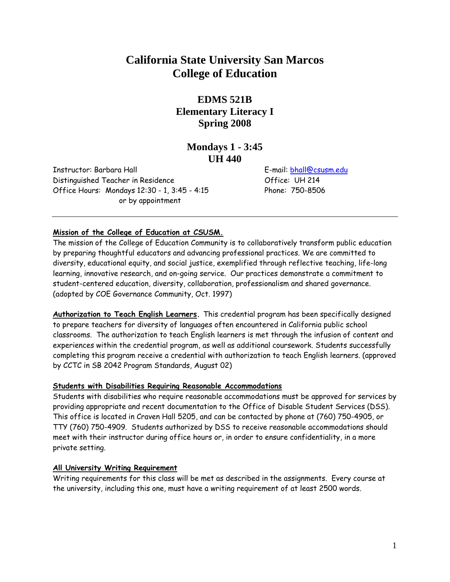# **California State University San Marcos College of Education**

# **EDMS 521B Elementary Literacy I Spring 2008**

# **Mondays 1 - 3:45 UH 440**

Instructor: Barbara Hall E-mail: bhall@csusm.edu Distinguished Teacher in Residence Office: UH 214 Office Hours: Mondays 12:30 - 1, 3:45 - 4:15 Phone: 750-8506 or by appointment

#### **Mission of the College of Education at CSUSM.**

The mission of the College of Education Community is to collaboratively transform public education by preparing thoughtful educators and advancing professional practices. We are committed to diversity, educational equity, and social justice, exemplified through reflective teaching, life-long learning, innovative research, and on-going service. Our practices demonstrate a commitment to student-centered education, diversity, collaboration, professionalism and shared governance. (adopted by COE Governance Community, Oct. 1997)

**Authorization to Teach English Learners.** This credential program has been specifically designed to prepare teachers for diversity of languages often encountered in California public school classrooms. The authorization to teach English learners is met through the infusion of content and experiences within the credential program, as well as additional coursework. Students successfully completing this program receive a credential with authorization to teach English learners. (approved by CCTC in SB 2042 Program Standards, August 02)

#### **Students with Disabilities Requiring Reasonable Accommodations**

Students with disabilities who require reasonable accommodations must be approved for services by providing appropriate and recent documentation to the Office of Disable Student Services (DSS). This office is located in Craven Hall 5205, and can be contacted by phone at (760) 750-4905, or TTY (760) 750-4909. Students authorized by DSS to receive reasonable accommodations should meet with their instructor during office hours or, in order to ensure confidentiality, in a more private setting.

#### **All University Writing Requirement**

Writing requirements for this class will be met as described in the assignments. Every course at the university, including this one, must have a writing requirement of at least 2500 words.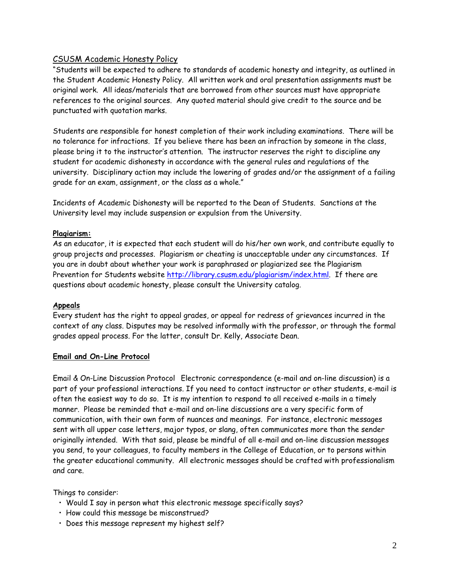## CSUSM Academic Honesty Policy

"Students will be expected to adhere to standards of academic honesty and integrity, as outlined in the Student Academic Honesty Policy. All written work and oral presentation assignments must be original work. All ideas/materials that are borrowed from other sources must have appropriate references to the original sources. Any quoted material should give credit to the source and be punctuated with quotation marks.

Students are responsible for honest completion of their work including examinations. There will be no tolerance for infractions. If you believe there has been an infraction by someone in the class, please bring it to the instructor's attention. The instructor reserves the right to discipline any student for academic dishonesty in accordance with the general rules and regulations of the university. Disciplinary action may include the lowering of grades and/or the assignment of a failing grade for an exam, assignment, or the class as a whole."

Incidents of Academic Dishonesty will be reported to the Dean of Students. Sanctions at the University level may include suspension or expulsion from the University.

#### **Plagiarism:**

As an educator, it is expected that each student will do his/her own work, and contribute equally to group projects and processes. Plagiarism or cheating is unacceptable under any circumstances. If you are in doubt about whether your work is paraphrased or plagiarized see the Plagiarism Prevention for Students website http://library.csusm.edu/plagiarism/index.html. If there are questions about academic honesty, please consult the University catalog.

#### **Appeals**

Every student has the right to appeal grades, or appeal for redress of grievances incurred in the context of any class. Disputes may be resolved informally with the professor, or through the formal grades appeal process. For the latter, consult Dr. Kelly, Associate Dean.

#### **Email and On-Line Protocol**

Email & On-Line Discussion Protocol Electronic correspondence (e-mail and on-line discussion) is a part of your professional interactions. If you need to contact instructor or other students, e-mail is often the easiest way to do so. It is my intention to respond to all received e-mails in a timely manner. Please be reminded that e-mail and on-line discussions are a very specific form of communication, with their own form of nuances and meanings. For instance, electronic messages sent with all upper case letters, major typos, or slang, often communicates more than the sender originally intended. With that said, please be mindful of all e-mail and on-line discussion messages you send, to your colleagues, to faculty members in the College of Education, or to persons within the greater educational community. All electronic messages should be crafted with professionalism and care.

Things to consider:

- Would I say in person what this electronic message specifically says?
- How could this message be misconstrued?
- Does this message represent my highest self?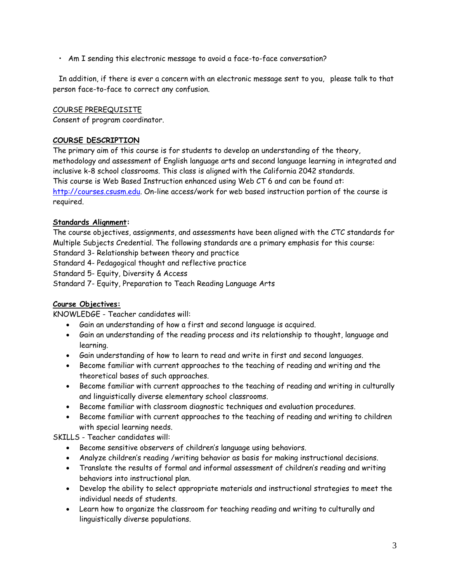• Am I sending this electronic message to avoid a face-to-face conversation?

 In addition, if there is ever a concern with an electronic message sent to you, please talk to that person face-to-face to correct any confusion.

#### COURSE PREREQUISITE

Consent of program coordinator.

#### **COURSE DESCRIPTION**

The primary aim of this course is for students to develop an understanding of the theory, methodology and assessment of English language arts and second language learning in integrated and inclusive k-8 school classrooms. This class is aligned with the California 2042 standards. This course is Web Based Instruction enhanced using Web CT 6 and can be found at: http://courses.csusm.edu. On-line access/work for web based instruction portion of the course is required.

#### **Standards Alignment:**

The course objectives, assignments, and assessments have been aligned with the CTC standards for Multiple Subjects Credential. The following standards are a primary emphasis for this course:

Standard 3- Relationship between theory and practice

Standard 4- Pedagogical thought and reflective practice

Standard 5- Equity, Diversity & Access

Standard 7- Equity, Preparation to Teach Reading Language Arts

#### **Course Objectives:**

KNOWLEDGE - Teacher candidates will:

- Gain an understanding of how a first and second language is acquired.
- Gain an understanding of the reading process and its relationship to thought, language and learning.
- Gain understanding of how to learn to read and write in first and second languages.
- Become familiar with current approaches to the teaching of reading and writing and the theoretical bases of such approaches.
- Become familiar with current approaches to the teaching of reading and writing in culturally and linguistically diverse elementary school classrooms.
- Become familiar with classroom diagnostic techniques and evaluation procedures.
- Become familiar with current approaches to the teaching of reading and writing to children with special learning needs.

SKILLS - Teacher candidates will:

- Become sensitive observers of children's language using behaviors.
- Analyze children's reading /writing behavior as basis for making instructional decisions.
- Translate the results of formal and informal assessment of children's reading and writing behaviors into instructional plan.
- Develop the ability to select appropriate materials and instructional strategies to meet the individual needs of students.
- Learn how to organize the classroom for teaching reading and writing to culturally and linguistically diverse populations.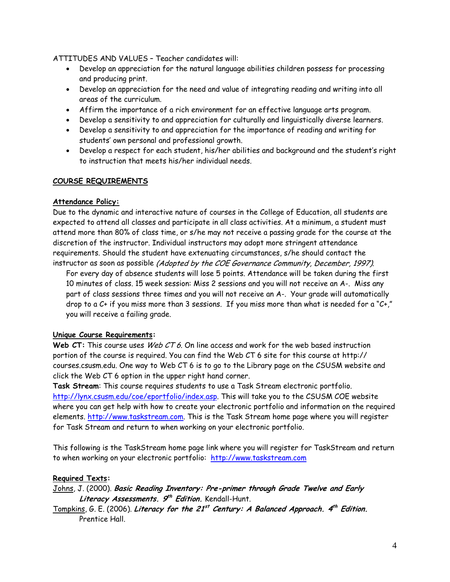ATTITUDES AND VALUES – Teacher candidates will:

- Develop an appreciation for the natural language abilities children possess for processing and producing print.
- Develop an appreciation for the need and value of integrating reading and writing into all areas of the curriculum.
- Affirm the importance of a rich environment for an effective language arts program.
- Develop a sensitivity to and appreciation for culturally and linguistically diverse learners.
- Develop a sensitivity to and appreciation for the importance of reading and writing for students' own personal and professional growth.
- Develop a respect for each student, his/her abilities and background and the student's right to instruction that meets his/her individual needs.

#### **COURSE REQUIREMENTS**

#### **Attendance Policy:**

Due to the dynamic and interactive nature of courses in the College of Education, all students are expected to attend all classes and participate in all class activities. At a minimum, a student must attend more than 80% of class time, or s/he may not receive a passing grade for the course at the discretion of the instructor. Individual instructors may adopt more stringent attendance requirements. Should the student have extenuating circumstances, s/he should contact the instructor as soon as possible (Adopted by the COE Governance Community, December, 1997).

For every day of absence students will lose 5 points. Attendance will be taken during the first 10 minutes of class. 15 week session: Miss 2 sessions and you will not receive an A-. Miss any part of class sessions three times and you will not receive an A-. Your grade will automatically drop to a  $C+$  if you miss more than 3 sessions. If you miss more than what is needed for a " $C+$ ," you will receive a failing grade.

#### **Unique Course Requirements:**

**Web CT:** This course uses Web CT 6. On line access and work for the web based instruction portion of the course is required. You can find the Web CT 6 site for this course at http:// courses.csusm.edu. One way to Web CT 6 is to go to the Library page on the CSUSM website and click the Web CT 6 option in the upper right hand corner.

**Task Stream**: This course requires students to use a Task Stream electronic portfolio. http://lynx.csusm.edu/coe/eportfolio/index.asp. This will take you to the CSUSM COE website where you can get help with how to create your electronic portfolio and information on the required elements. http://www.taskstream.com. This is the Task Stream home page where you will register for Task Stream and return to when working on your electronic portfolio.

This following is the TaskStream home page link where you will register for TaskStream and return to when working on your electronic portfolio: http://www.taskstream.com

#### **Required Texts:**

Johns, J. (2000). **Basic Reading Inventory: Pre-primer through Grade Twelve and Early Literacy Assessments. 9th Edition.** Kendall-Hunt.

Tompkins, G. E. (2006). **Literacy for the 21st Century: A Balanced Approach. 4th Edition.** Prentice Hall.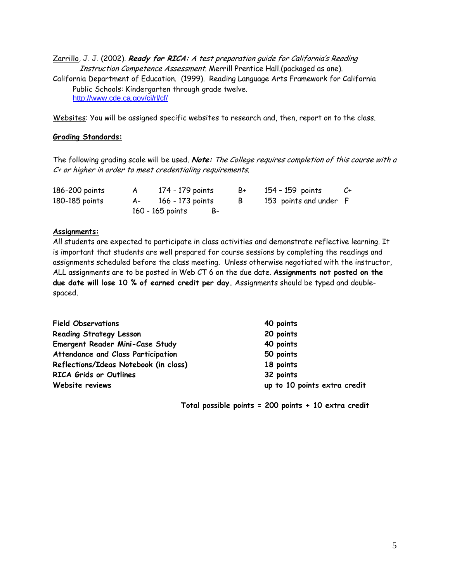Zarrillo, J. J. (2002). **Ready for RICA:** A test preparation guide for California's Reading Instruction Competence Assessment. Merrill Prentice Hall.(packaged as one). California Department of Education. (1999). Reading Language Arts Framework for California Public Schools: Kindergarten through grade twelve. http://www.cde.ca.gov/ci/rl/cf/

Websites: You will be assigned specific websites to research and, then, report on to the class.

#### **Grading Standards:**

The following grading scale will be used. **Note:** The College requires completion of this course with a C+ or higher in order to meet credentialing requirements.

| 186-200 points | 174 - 179 points    | B+ | 154 - 159 points       | C+ |
|----------------|---------------------|----|------------------------|----|
| 180-185 points | A- 166 - 173 points | B  | 153 points and under F |    |
|                | 160 - 165 points    |    |                        |    |

#### **Assignments:**

All students are expected to participate in class activities and demonstrate reflective learning. It is important that students are well prepared for course sessions by completing the readings and assignments scheduled before the class meeting. Unless otherwise negotiated with the instructor, ALL assignments are to be posted in Web CT 6 on the due date. **Assignments not posted on the due date will lose 10 % of earned credit per day.** Assignments should be typed and doublespaced.

| <b>Field Observations</b>             | 40 points                    |
|---------------------------------------|------------------------------|
| <b>Reading Strategy Lesson</b>        | 20 points                    |
| Emergent Reader Mini-Case Study       | 40 points                    |
| Attendance and Class Participation    | 50 points                    |
| Reflections/Ideas Notebook (in class) | 18 points                    |
| <b>RICA Grids or Outlines</b>         | 32 points                    |
| Website reviews                       | up to 10 points extra credit |

 **Total possible points = 200 points + 10 extra credit**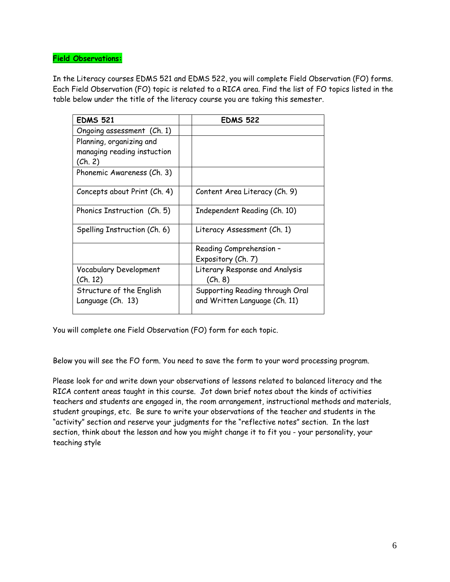#### **Field Observations:**

In the Literacy courses EDMS 521 and EDMS 522, you will complete Field Observation (FO) forms. Each Field Observation (FO) topic is related to a RICA area. Find the list of FO topics listed in the table below under the title of the literacy course you are taking this semester.

| <b>EDMS 521</b>              | <b>EDMS 522</b>                 |
|------------------------------|---------------------------------|
| Ongoing assessment (Ch. 1)   |                                 |
| Planning, organizing and     |                                 |
| managing reading instuction  |                                 |
| (Ch. 2)                      |                                 |
| Phonemic Awareness (Ch. 3)   |                                 |
| Concepts about Print (Ch. 4) | Content Area Literacy (Ch. 9)   |
| Phonics Instruction (Ch. 5)  | Independent Reading (Ch. 10)    |
| Spelling Instruction (Ch. 6) | Literacy Assessment (Ch. 1)     |
|                              | Reading Comprehension -         |
|                              | Expository (Ch. 7)              |
| Vocabulary Development       | Literary Response and Analysis  |
| (Ch. 12)                     | (Ch. 8)                         |
| Structure of the English     | Supporting Reading through Oral |
| Language (Ch. 13)            | and Written Language (Ch. 11)   |

You will complete one Field Observation (FO) form for each topic.

Below you will see the FO form. You need to save the form to your word processing program.

Please look for and write down your observations of lessons related to balanced literacy and the RICA content areas taught in this course. Jot down brief notes about the kinds of activities teachers and students are engaged in, the room arrangement, instructional methods and materials, student groupings, etc. Be sure to write your observations of the teacher and students in the "activity" section and reserve your judgments for the "reflective notes" section. In the last section, think about the lesson and how you might change it to fit you - your personality, your teaching style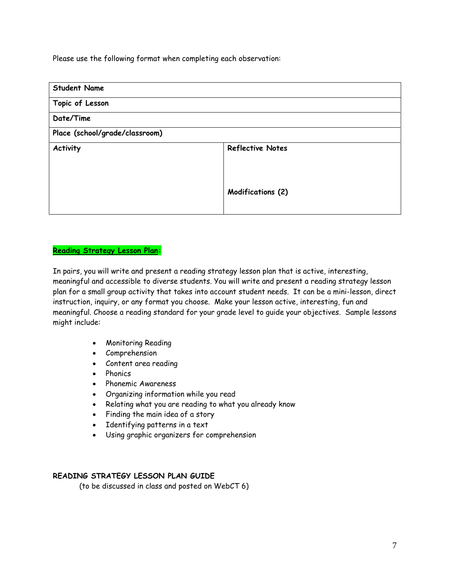Please use the following format when completing each observation:

| <b>Student Name</b>            |                         |
|--------------------------------|-------------------------|
| Topic of Lesson                |                         |
| Date/Time                      |                         |
| Place (school/grade/classroom) |                         |
| Activity                       | <b>Reflective Notes</b> |
|                                |                         |
|                                |                         |
|                                | Modifications (2)       |
|                                |                         |

#### **Reading Strategy Lesson Plan:**

In pairs, you will write and present a reading strategy lesson plan that is active, interesting, meaningful and accessible to diverse students. You will write and present a reading strategy lesson plan for a small group activity that takes into account student needs. It can be a mini-lesson, direct instruction, inquiry, or any format you choose. Make your lesson active, interesting, fun and meaningful. Choose a reading standard for your grade level to guide your objectives. Sample lessons might include:

- Monitoring Reading
- Comprehension
- Content area reading
- Phonics
- Phonemic Awareness
- Organizing information while you read
- Relating what you are reading to what you already know
- Finding the main idea of a story
- Identifying patterns in a text
- Using graphic organizers for comprehension

#### **READING STRATEGY LESSON PLAN GUIDE**

(to be discussed in class and posted on WebCT 6)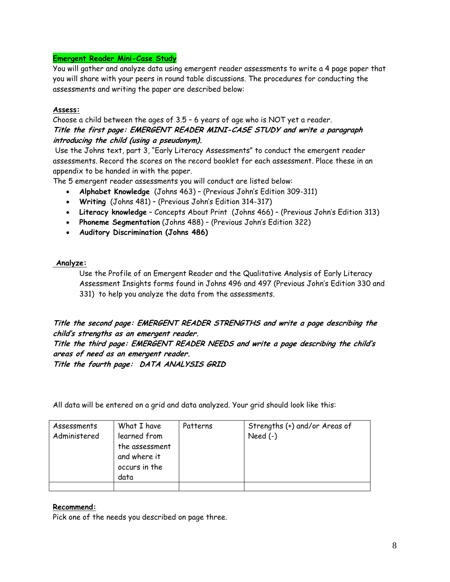#### **Emergent Reader Mini-Case Study**

You will gather and analyze data using emergent reader assessments to write a 4 page paper that you will share with your peers in round table discussions. The procedures for conducting the assessments and writing the paper are described below:

#### **Assess:**

Choose a child between the ages of 3.5 – 6 years of age who is NOT yet a reader. **Title the first page: EMERGENT READER MINI-CASE STUDY and write a paragraph introducing the child (using a pseudonym).** 

Use the Johns text, part 3, "Early Literacy Assessments" to conduct the emergent reader assessments. Record the scores on the record booklet for each assessment. Place these in an appendix to be handed in with the paper.

The 5 emergent reader assessments you will conduct are listed below:

- **Alphabet Knowledge** (Johns 463) (Previous John's Edition 309-311)
- **Writing** (Johns 481) (Previous John's Edition 314-317)
- **Literacy knowledge** Concepts About Print (Johns 466) (Previous John's Edition 313)
- **Phoneme Segmentation** (Johns 488) (Previous John's Edition 322)
- **Auditory Discrimination (Johns 486)**

#### **Analyze:**

Use the Profile of an Emergent Reader and the Qualitative Analysis of Early Literacy Assessment Insights forms found in Johns 496 and 497 (Previous John's Edition 330 and 331) to help you analyze the data from the assessments.

# **Title the second page: EMERGENT READER STRENGTHS and write a page describing the child's strengths as an emergent reader.**

**Title the third page: EMERGENT READER NEEDS and write a page describing the child's areas of need as an emergent reader.** 

**Title the fourth page: DATA ANALYSIS GRID** 

All data will be entered on a grid and data analyzed. Your grid should look like this:

| Assessments<br>Administered | What I have<br>learned from<br>the assessment<br>and where it<br>occurs in the<br>data | Patterns | Strengths (+) and/or Areas of<br>Need $(-)$ |
|-----------------------------|----------------------------------------------------------------------------------------|----------|---------------------------------------------|
|                             |                                                                                        |          |                                             |

#### **Recommend:**

Pick one of the needs you described on page three.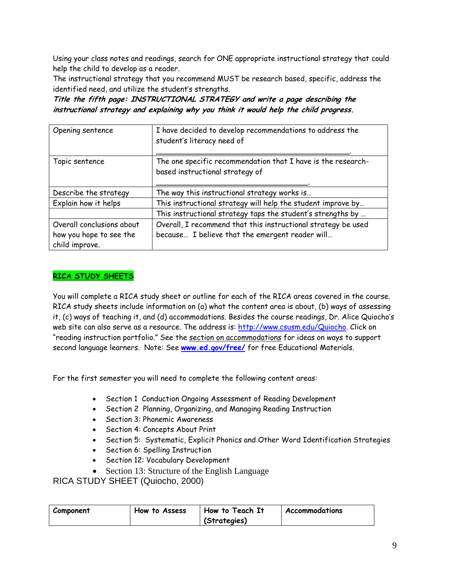Using your class notes and readings, search for ONE appropriate instructional strategy that could help the child to develop as a reader.

The instructional strategy that you recommend MUST be research based, specific, address the identified need, and utilize the student's strengths.

**Title the fifth page: INSTRUCTIONAL STRATEGY and write a page describing the instructional strategy and explaining why you think it would help the child progress.** 

| Opening sentence          | I have decided to develop recommendations to address the<br>student's literacy need of          |
|---------------------------|-------------------------------------------------------------------------------------------------|
| Topic sentence            | The one specific recommendation that I have is the research-<br>based instructional strategy of |
| Describe the strategy     | The way this instructional strategy works is                                                    |
| Explain how it helps      | This instructional strategy will help the student improve by                                    |
|                           | This instructional strategy taps the student's strengths by                                     |
| Overall conclusions about | Overall, I recommend that this instructional strategy be used                                   |
| how you hope to see the   | because I believe that the emergent reader will                                                 |
| child improve.            |                                                                                                 |

## **RICA STUDY SHEETS**

You will complete a RICA study sheet or outline for each of the RICA areas covered in the course. RICA study sheets include information on (a) what the content area is about, (b) ways of assessing it, (c) ways of teaching it, and (d) accommodations. Besides the course readings, Dr. Alice Quiocho's web site can also serve as a resource. The address is: http://www.csusm.edu/Quiocho. Click on "reading instruction portfolio." See the section on accommodations for ideas on ways to support second language learners. Note: See **www.ed.gov/free/** for free Educational Materials.

For the first semester you will need to complete the following content areas:

- Section 1 Conduction Ongoing Assessment of Reading Development
- Section 2 Planning, Organizing, and Managing Reading Instruction
- Section 3: Phonemic Awareness
- Section 4: Concepts About Print
- Section 5: Systematic, Explicit Phonics and Other Word Identification Strategies
- Section 6: Spelling Instruction
- Section 12: Vocabulary Development
- Section 13: Structure of the English Language

RICA STUDY SHEET (Quiocho, 2000)

| Component | How to Assess | How to Teach It | Accommodations |
|-----------|---------------|-----------------|----------------|
|           |               | (Strategies)    |                |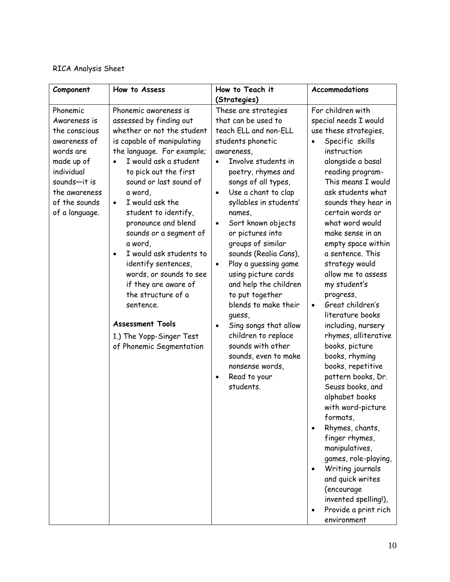# RICA Analysis Sheet

| Component                                                                                                                                                              | How to Assess                                                                                                                                                                                                                                                                                                                                                                                                                                                                                                                                                                    | How to Teach it                                                                                                                                                                                                                                                                                                                                                                                                                                                                                                                                                                                                                                              | Accommodations                                                                                                                                                                                                                                                                                                                                                                                                                                                                                                                                                                                                                                                                                                                                                                                                                             |
|------------------------------------------------------------------------------------------------------------------------------------------------------------------------|----------------------------------------------------------------------------------------------------------------------------------------------------------------------------------------------------------------------------------------------------------------------------------------------------------------------------------------------------------------------------------------------------------------------------------------------------------------------------------------------------------------------------------------------------------------------------------|--------------------------------------------------------------------------------------------------------------------------------------------------------------------------------------------------------------------------------------------------------------------------------------------------------------------------------------------------------------------------------------------------------------------------------------------------------------------------------------------------------------------------------------------------------------------------------------------------------------------------------------------------------------|--------------------------------------------------------------------------------------------------------------------------------------------------------------------------------------------------------------------------------------------------------------------------------------------------------------------------------------------------------------------------------------------------------------------------------------------------------------------------------------------------------------------------------------------------------------------------------------------------------------------------------------------------------------------------------------------------------------------------------------------------------------------------------------------------------------------------------------------|
|                                                                                                                                                                        |                                                                                                                                                                                                                                                                                                                                                                                                                                                                                                                                                                                  | (Strategies)                                                                                                                                                                                                                                                                                                                                                                                                                                                                                                                                                                                                                                                 |                                                                                                                                                                                                                                                                                                                                                                                                                                                                                                                                                                                                                                                                                                                                                                                                                                            |
| Phonemic<br>Awareness is<br>the conscious<br>awareness of<br>words are<br>made up of<br>individual<br>sounds-it is<br>the awareness<br>of the sounds<br>of a language. | Phonemic awareness is<br>assessed by finding out<br>whether or not the student<br>is capable of manipulating<br>the language. For example;<br>I would ask a student<br>to pick out the first<br>sound or last sound of<br>a word,<br>I would ask the<br>$\bullet$<br>student to identify,<br>pronounce and blend<br>sounds or a segment of<br>a word,<br>I would ask students to<br>identify sentences,<br>words, or sounds to see<br>if they are aware of<br>the structure of a<br>sentence.<br><b>Assessment Tools</b><br>1.) The Yopp-Singer Test<br>of Phonemic Segmentation | These are strategies<br>that can be used to<br>teach ELL and non-ELL<br>students phonetic<br>awareness,<br>Involve students in<br>poetry, rhymes and<br>songs of all types,<br>Use a chant to clap<br>$\bullet$<br>syllables in students'<br>names,<br>Sort known objects<br>$\bullet$<br>or pictures into<br>groups of similar<br>sounds (Realia Cans),<br>Play a guessing game<br>$\bullet$<br>using picture cards<br>and help the children<br>to put together<br>blends to make their<br>guess,<br>Sing songs that allow<br>$\bullet$<br>children to replace<br>sounds with other<br>sounds, even to make<br>nonsense words,<br>Read to your<br>students. | For children with<br>special needs I would<br>use these strategies,<br>Specific skills<br>instruction<br>alongside a basal<br>reading program-<br>This means I would<br>ask students what<br>sounds they hear in<br>certain words or<br>what word would<br>make sense in an<br>empty space within<br>a sentence. This<br>strategy would<br>allow me to assess<br>my student's<br>progress,<br>Great children's<br>literature books<br>including, nursery<br>rhymes, alliterative<br>books, picture<br>books, rhyming<br>books, repetitive<br>pattern books, Dr.<br>Seuss books, and<br>alphabet books<br>with word-picture<br>formats,<br>Rhymes, chants,<br>finger rhymes,<br>manipulatives,<br>games, role-playing,<br>Writing journals<br>and quick writes<br>(encourage<br>invented spelling!),<br>Provide a print rich<br>environment |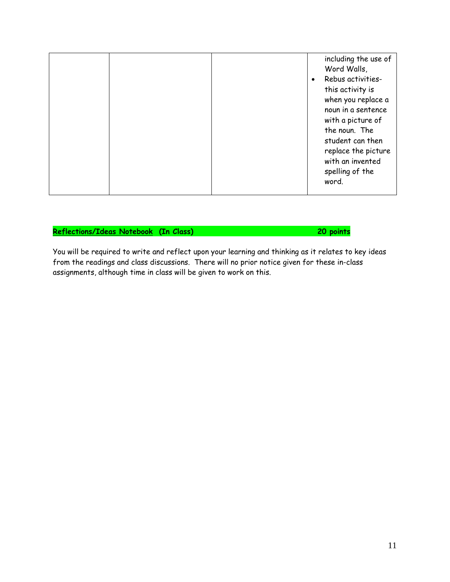| spelling of the<br>word. |  |  |  | including the use of<br>Word Walls,<br>Rebus activities-<br>$\bullet$<br>this activity is<br>when you replace a<br>noun in a sentence<br>with a picture of<br>the noun. The<br>student can then<br>replace the picture<br>with an invented |
|--------------------------|--|--|--|--------------------------------------------------------------------------------------------------------------------------------------------------------------------------------------------------------------------------------------------|
|--------------------------|--|--|--|--------------------------------------------------------------------------------------------------------------------------------------------------------------------------------------------------------------------------------------------|

### **Reflections/Ideas Notebook (In Class) 20 points**

You will be required to write and reflect upon your learning and thinking as it relates to key ideas from the readings and class discussions. There will no prior notice given for these in-class assignments, although time in class will be given to work on this.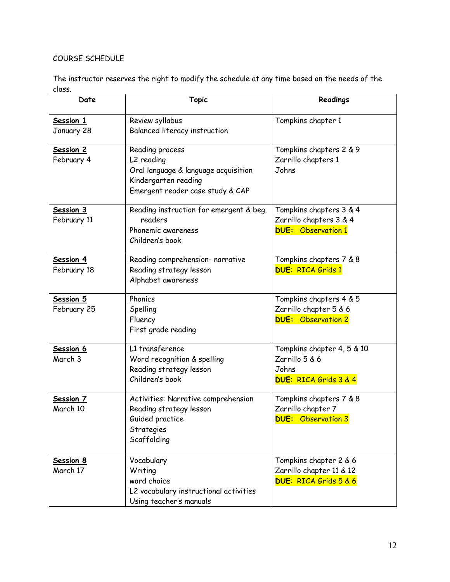# COURSE SCHEDULE

The instructor reserves the right to modify the schedule at any time based on the needs of the class.

| Date                         | <b>Topic</b>                                                                                                                      | Readings                                                                                  |
|------------------------------|-----------------------------------------------------------------------------------------------------------------------------------|-------------------------------------------------------------------------------------------|
| Session 1<br>January 28      | Review syllabus<br>Balanced literacy instruction                                                                                  | Tompkins chapter 1                                                                        |
| Session 2<br>February 4      | Reading process<br>L2 reading<br>Oral language & language acquisition<br>Kindergarten reading<br>Emergent reader case study & CAP | Tompkins chapters 2 & 9<br>Zarrillo chapters 1<br>Johns                                   |
| Session 3<br>February 11     | Reading instruction for emergent & beg.<br>readers<br>Phonemic awareness<br>Children's book                                       | Tompkins chapters 3 & 4<br>Zarrillo chapters 3 & 4<br><b>DUE:</b> Observation 1           |
| Session 4<br>February 18     | Reading comprehension- narrative<br>Reading strategy lesson<br>Alphabet awareness                                                 | Tompkins chapters 7 & 8<br><b>DUE: RICA Grids 1</b>                                       |
| Session 5<br>February 25     | Phonics<br>Spelling<br>Fluency<br>First grade reading                                                                             | Tompkins chapters 4 & 5<br>Zarrillo chapter 5 & 6<br><b>DUE:</b> Observation 2            |
| Session 6<br>March 3         | L1 transference<br>Word recognition & spelling<br>Reading strategy lesson<br>Children's book                                      | Tompkins chapter 4, 5 & 10<br>Zarrillo 5 & 6<br>Johns<br><b>DUE: RICA Grids 3 &amp; 4</b> |
| Session 7<br>March 10        | Activities: Narrative comprehension<br>Reading strategy lesson<br>Guided practice<br>Strategies<br>Scaffolding                    | Tompkins chapters 7 & 8<br>Zarrillo chapter 7<br><b>DUE:</b> Observation 3                |
| <b>Session 8</b><br>March 17 | Vocabulary<br>Writing<br>word choice<br>L2 vocabulary instructional activities<br>Using teacher's manuals                         | Tompkins chapter 2 & 6<br>Zarrillo chapter 11 & 12<br><b>DUE: RICA Grids 5 &amp; 6</b>    |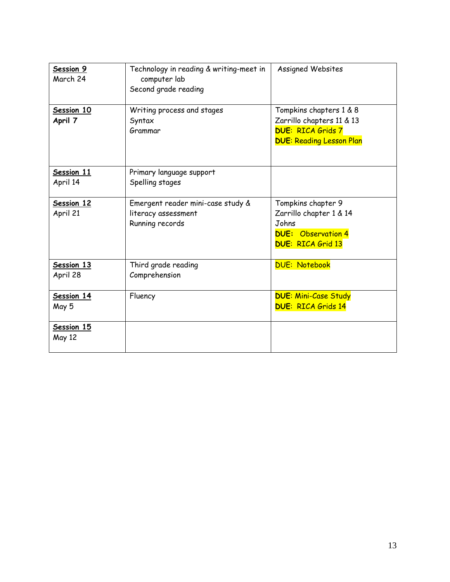| Session 9<br>March 24  | Technology in reading & writing-meet in<br>computer lab<br>Second grade reading | <b>Assigned Websites</b>                                                                                            |
|------------------------|---------------------------------------------------------------------------------|---------------------------------------------------------------------------------------------------------------------|
| Session 10<br>April 7  | Writing process and stages<br>Syntax<br>Grammar                                 | Tompkins chapters 1 & 8<br>Zarrillo chapters 11 & 13<br><b>DUE: RICA Grids 7</b><br><b>DUE: Reading Lesson Plan</b> |
| Session 11<br>April 14 | Primary language support<br>Spelling stages                                     |                                                                                                                     |
| Session 12<br>April 21 | Emergent reader mini-case study &<br>literacy assessment<br>Running records     | Tompkins chapter 9<br>Zarrillo chapter 1 & 14<br>Johns<br><b>DUE:</b> Observation 4<br><b>DUE: RICA Grid 13</b>     |
| Session 13<br>April 28 | Third grade reading<br>Comprehension                                            | <b>DUE: Notebook</b>                                                                                                |
| Session 14<br>May 5    | Fluency                                                                         | <b>DUE: Mini-Case Study</b><br><b>DUE: RICA Grids 14</b>                                                            |
| Session 15<br>May 12   |                                                                                 |                                                                                                                     |